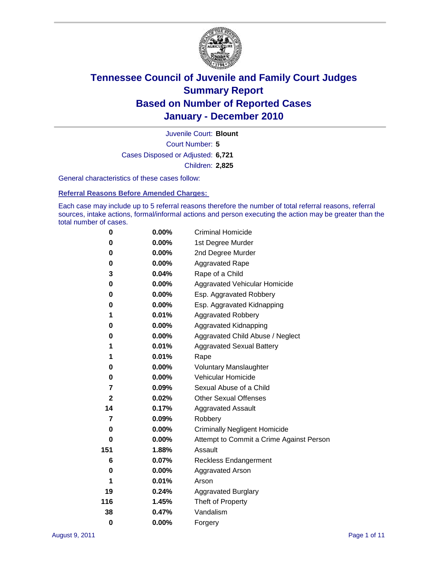

Court Number: **5** Juvenile Court: **Blount** Cases Disposed or Adjusted: **6,721** Children: **2,825**

General characteristics of these cases follow:

**Referral Reasons Before Amended Charges:** 

Each case may include up to 5 referral reasons therefore the number of total referral reasons, referral sources, intake actions, formal/informal actions and person executing the action may be greater than the total number of cases.

| 0            | $0.00\%$ | <b>Criminal Homicide</b>                 |  |  |  |
|--------------|----------|------------------------------------------|--|--|--|
| 0            | 0.00%    | 1st Degree Murder                        |  |  |  |
| 0            | $0.00\%$ | 2nd Degree Murder                        |  |  |  |
| 0            | $0.00\%$ | <b>Aggravated Rape</b>                   |  |  |  |
| 3            | 0.04%    | Rape of a Child                          |  |  |  |
| 0            | 0.00%    | Aggravated Vehicular Homicide            |  |  |  |
| 0            | 0.00%    | Esp. Aggravated Robbery                  |  |  |  |
| 0            | $0.00\%$ | Esp. Aggravated Kidnapping               |  |  |  |
| 1            | 0.01%    | <b>Aggravated Robbery</b>                |  |  |  |
| 0            | $0.00\%$ | Aggravated Kidnapping                    |  |  |  |
| 0            | 0.00%    | Aggravated Child Abuse / Neglect         |  |  |  |
| 1            | 0.01%    | <b>Aggravated Sexual Battery</b>         |  |  |  |
| 1            | 0.01%    | Rape                                     |  |  |  |
| 0            | $0.00\%$ | <b>Voluntary Manslaughter</b>            |  |  |  |
| 0            | 0.00%    | Vehicular Homicide                       |  |  |  |
| 7            | 0.09%    | Sexual Abuse of a Child                  |  |  |  |
| $\mathbf{2}$ | 0.02%    | <b>Other Sexual Offenses</b>             |  |  |  |
| 14           | 0.17%    | <b>Aggravated Assault</b>                |  |  |  |
| 7            | $0.09\%$ | Robbery                                  |  |  |  |
| 0            | 0.00%    | <b>Criminally Negligent Homicide</b>     |  |  |  |
| 0            | $0.00\%$ | Attempt to Commit a Crime Against Person |  |  |  |
| 151          | 1.88%    | Assault                                  |  |  |  |
| 6            | 0.07%    | <b>Reckless Endangerment</b>             |  |  |  |
| 0            | 0.00%    | <b>Aggravated Arson</b>                  |  |  |  |
| 1            | 0.01%    | Arson                                    |  |  |  |
| 19           | 0.24%    | <b>Aggravated Burglary</b>               |  |  |  |
| 116          | 1.45%    | Theft of Property                        |  |  |  |
| 38           | 0.47%    | Vandalism                                |  |  |  |
| $\bf{0}$     | 0.00%    | Forgery                                  |  |  |  |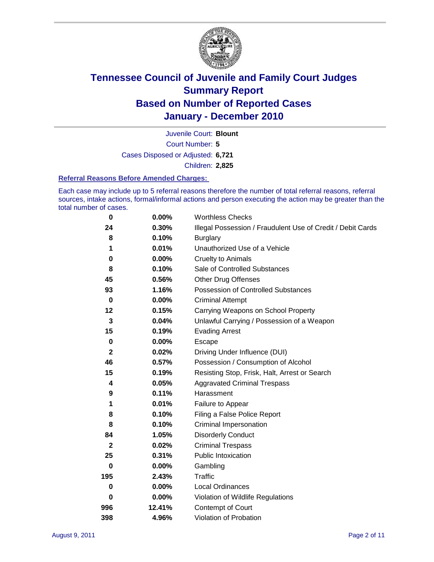

Court Number: **5** Juvenile Court: **Blount** Cases Disposed or Adjusted: **6,721** Children: **2,825**

#### **Referral Reasons Before Amended Charges:**

Each case may include up to 5 referral reasons therefore the number of total referral reasons, referral sources, intake actions, formal/informal actions and person executing the action may be greater than the total number of cases.

| $\bf{0}$     | 0.00%    | <b>Worthless Checks</b>                                     |
|--------------|----------|-------------------------------------------------------------|
| 24           | 0.30%    | Illegal Possession / Fraudulent Use of Credit / Debit Cards |
| 8            | 0.10%    | <b>Burglary</b>                                             |
| 1            | 0.01%    | Unauthorized Use of a Vehicle                               |
| 0            | $0.00\%$ | <b>Cruelty to Animals</b>                                   |
| 8            | 0.10%    | Sale of Controlled Substances                               |
| 45           | 0.56%    | <b>Other Drug Offenses</b>                                  |
| 93           | 1.16%    | Possession of Controlled Substances                         |
| $\mathbf 0$  | $0.00\%$ | <b>Criminal Attempt</b>                                     |
| 12           | 0.15%    | Carrying Weapons on School Property                         |
| $\mathbf{3}$ | 0.04%    | Unlawful Carrying / Possession of a Weapon                  |
| 15           | 0.19%    | <b>Evading Arrest</b>                                       |
| $\mathbf 0$  | 0.00%    | Escape                                                      |
| $\mathbf 2$  | 0.02%    | Driving Under Influence (DUI)                               |
| 46           | 0.57%    | Possession / Consumption of Alcohol                         |
| 15           | 0.19%    | Resisting Stop, Frisk, Halt, Arrest or Search               |
| 4            | 0.05%    | <b>Aggravated Criminal Trespass</b>                         |
| 9            | 0.11%    | Harassment                                                  |
| 1            | 0.01%    | Failure to Appear                                           |
| 8            | 0.10%    | Filing a False Police Report                                |
| 8            | 0.10%    | Criminal Impersonation                                      |
| 84           | 1.05%    | <b>Disorderly Conduct</b>                                   |
| $\mathbf{2}$ | 0.02%    | <b>Criminal Trespass</b>                                    |
| 25           | 0.31%    | <b>Public Intoxication</b>                                  |
| 0            | $0.00\%$ | Gambling                                                    |
| 195          | 2.43%    | <b>Traffic</b>                                              |
| 0            | $0.00\%$ | <b>Local Ordinances</b>                                     |
| $\mathbf 0$  | 0.00%    | Violation of Wildlife Regulations                           |
| 996          | 12.41%   | Contempt of Court                                           |
| 398          | 4.96%    | Violation of Probation                                      |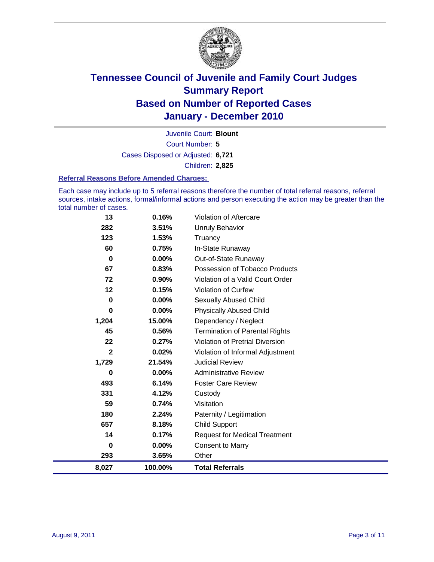

Court Number: **5** Juvenile Court: **Blount** Cases Disposed or Adjusted: **6,721** Children: **2,825**

#### **Referral Reasons Before Amended Charges:**

Each case may include up to 5 referral reasons therefore the number of total referral reasons, referral sources, intake actions, formal/informal actions and person executing the action may be greater than the total number of cases.

| 8,027        | 100.00%  | <b>Total Referrals</b>                 |
|--------------|----------|----------------------------------------|
| 293          | 3.65%    | Other                                  |
| 0            | 0.00%    | <b>Consent to Marry</b>                |
| 14           | 0.17%    | <b>Request for Medical Treatment</b>   |
| 657          | 8.18%    | <b>Child Support</b>                   |
| 180          | 2.24%    | Paternity / Legitimation               |
| 59           | 0.74%    | Visitation                             |
| 331          | 4.12%    | Custody                                |
| 493          | 6.14%    | <b>Foster Care Review</b>              |
| 0            | $0.00\%$ | <b>Administrative Review</b>           |
| 1,729        | 21.54%   | <b>Judicial Review</b>                 |
| $\mathbf{2}$ | 0.02%    | Violation of Informal Adjustment       |
| 22           | 0.27%    | <b>Violation of Pretrial Diversion</b> |
| 45           | 0.56%    | <b>Termination of Parental Rights</b>  |
| 1,204        | 15.00%   | Dependency / Neglect                   |
| 0            | 0.00%    | <b>Physically Abused Child</b>         |
| 0            | $0.00\%$ | <b>Sexually Abused Child</b>           |
| 12           | 0.15%    | <b>Violation of Curfew</b>             |
| 72           | 0.90%    | Violation of a Valid Court Order       |
| 67           | 0.83%    | Possession of Tobacco Products         |
| $\bf{0}$     | $0.00\%$ | Out-of-State Runaway                   |
| 60           | 0.75%    | In-State Runaway                       |
| 123          | 1.53%    | Truancy                                |
| 282          | 3.51%    | Unruly Behavior                        |
| 13           | 0.16%    | Violation of Aftercare                 |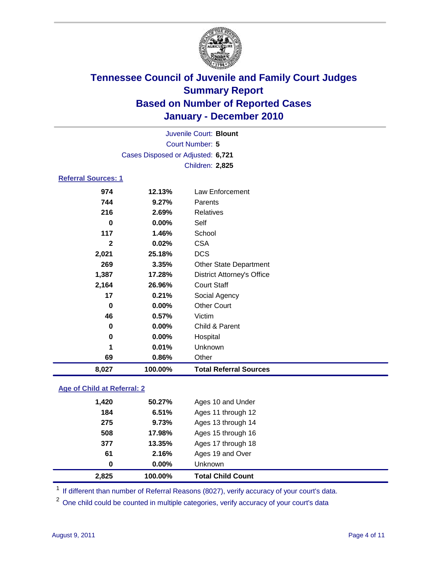

| Juvenile Court: Blount      |                                   |                                   |  |  |
|-----------------------------|-----------------------------------|-----------------------------------|--|--|
| <b>Court Number: 5</b>      |                                   |                                   |  |  |
|                             | Cases Disposed or Adjusted: 6,721 |                                   |  |  |
|                             |                                   | Children: 2,825                   |  |  |
| <b>Referral Sources: 1</b>  |                                   |                                   |  |  |
| 974                         | 12.13%                            | <b>Law Enforcement</b>            |  |  |
| 744                         | 9.27%                             | Parents                           |  |  |
| 216                         | 2.69%                             | Relatives                         |  |  |
| $\bf{0}$                    | 0.00%                             | Self                              |  |  |
| 117                         | 1.46%                             | School                            |  |  |
| $\overline{2}$              | 0.02%                             | <b>CSA</b>                        |  |  |
| 2,021                       | 25.18%                            | <b>DCS</b>                        |  |  |
| 269                         | 3.35%                             | Other State Department            |  |  |
| 1,387                       | 17.28%                            | <b>District Attorney's Office</b> |  |  |
| 2,164                       | 26.96%                            | <b>Court Staff</b>                |  |  |
| 17                          | 0.21%                             | Social Agency                     |  |  |
| $\bf{0}$                    | 0.00%                             | <b>Other Court</b>                |  |  |
| 46                          | 0.57%                             | Victim                            |  |  |
| 0                           | $0.00\%$                          | Child & Parent                    |  |  |
| 0                           | 0.00%                             | Hospital                          |  |  |
| 1                           | 0.01%                             | Unknown                           |  |  |
| 69                          | 0.86%                             | Other                             |  |  |
| 8,027                       | 100.00%                           | <b>Total Referral Sources</b>     |  |  |
| Age of Child at Referral: 2 |                                   |                                   |  |  |

|       |        | Unknown            |
|-------|--------|--------------------|
| 61    | 2.16%  | Ages 19 and Over   |
| 377   | 13.35% | Ages 17 through 18 |
| 508   | 17.98% | Ages 15 through 16 |
| 275   | 9.73%  | Ages 13 through 14 |
| 184   | 6.51%  | Ages 11 through 12 |
| 1,420 | 50.27% | Ages 10 and Under  |
|       |        | 0.00%<br>0         |

<sup>1</sup> If different than number of Referral Reasons (8027), verify accuracy of your court's data.

<sup>2</sup> One child could be counted in multiple categories, verify accuracy of your court's data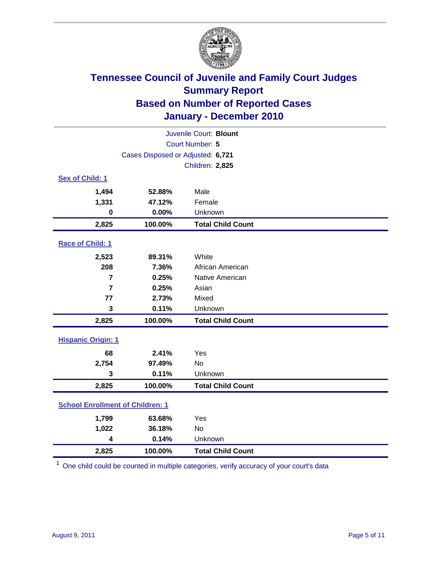

| Juvenile Court: Blount                  |                                   |                          |  |  |
|-----------------------------------------|-----------------------------------|--------------------------|--|--|
| Court Number: 5                         |                                   |                          |  |  |
|                                         | Cases Disposed or Adjusted: 6,721 |                          |  |  |
|                                         |                                   | Children: 2,825          |  |  |
| Sex of Child: 1                         |                                   |                          |  |  |
| 1,494                                   | 52.88%                            | Male                     |  |  |
| 1,331                                   | 47.12%                            | Female                   |  |  |
| $\bf{0}$                                | 0.00%                             | Unknown                  |  |  |
| 2,825                                   | 100.00%                           | <b>Total Child Count</b> |  |  |
| Race of Child: 1                        |                                   |                          |  |  |
| 2,523                                   | 89.31%                            | White                    |  |  |
| 208                                     | 7.36%                             | African American         |  |  |
| 7                                       | 0.25%                             | Native American          |  |  |
| $\overline{7}$                          | 0.25%                             | Asian                    |  |  |
| 77                                      | 2.73%                             | Mixed                    |  |  |
| $\mathbf 3$                             | 0.11%                             | Unknown                  |  |  |
| 2,825                                   | 100.00%                           | <b>Total Child Count</b> |  |  |
| <b>Hispanic Origin: 1</b>               |                                   |                          |  |  |
| 68                                      | 2.41%                             | Yes                      |  |  |
| 2,754                                   | 97.49%                            | <b>No</b>                |  |  |
| 3                                       | 0.11%                             | Unknown                  |  |  |
| 2,825                                   | 100.00%                           | <b>Total Child Count</b> |  |  |
| <b>School Enrollment of Children: 1</b> |                                   |                          |  |  |
| 1,799                                   | 63.68%                            | Yes                      |  |  |
| 1,022                                   | 36.18%                            | <b>No</b>                |  |  |
| 4                                       | 0.14%                             | Unknown                  |  |  |
| 2,825                                   | 100.00%                           | <b>Total Child Count</b> |  |  |

<sup>1</sup> One child could be counted in multiple categories, verify accuracy of your court's data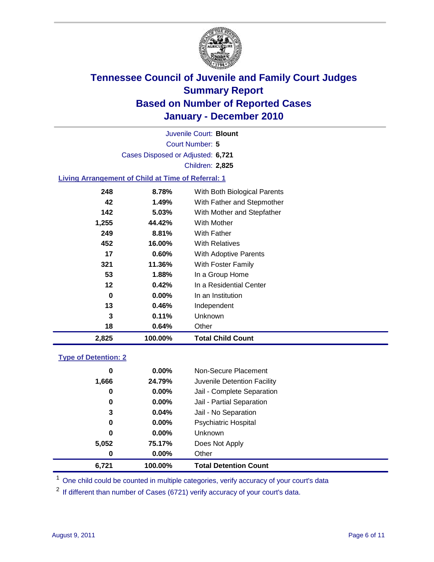

Court Number: **5** Juvenile Court: **Blount** Cases Disposed or Adjusted: **6,721** Children: **2,825**

### **Living Arrangement of Child at Time of Referral: 1**

| 2,825 | 100.00%  | <b>Total Child Count</b>     |  |
|-------|----------|------------------------------|--|
| 18    | 0.64%    | Other                        |  |
| 3     | 0.11%    | <b>Unknown</b>               |  |
| 13    | 0.46%    | Independent                  |  |
| 0     | $0.00\%$ | In an Institution            |  |
| 12    | 0.42%    | In a Residential Center      |  |
| 53    | 1.88%    | In a Group Home              |  |
| 321   | 11.36%   | With Foster Family           |  |
| 17    | $0.60\%$ | With Adoptive Parents        |  |
| 452   | 16.00%   | <b>With Relatives</b>        |  |
| 249   | 8.81%    | With Father                  |  |
| 1,255 | 44.42%   | With Mother                  |  |
| 142   | 5.03%    | With Mother and Stepfather   |  |
| 42    | 1.49%    | With Father and Stepmother   |  |
| 248   | 8.78%    | With Both Biological Parents |  |
|       |          |                              |  |

#### **Type of Detention: 2**

| 6,721 | 100.00%  | <b>Total Detention Count</b> |
|-------|----------|------------------------------|
| 0     | $0.00\%$ | Other                        |
| 5,052 | 75.17%   | Does Not Apply               |
| 0     | $0.00\%$ | Unknown                      |
| 0     | 0.00%    | <b>Psychiatric Hospital</b>  |
| 3     | 0.04%    | Jail - No Separation         |
| 0     | 0.00%    | Jail - Partial Separation    |
| 0     | 0.00%    | Jail - Complete Separation   |
| 1,666 | 24.79%   | Juvenile Detention Facility  |
| 0     | $0.00\%$ | Non-Secure Placement         |
|       |          |                              |

<sup>1</sup> One child could be counted in multiple categories, verify accuracy of your court's data

<sup>2</sup> If different than number of Cases (6721) verify accuracy of your court's data.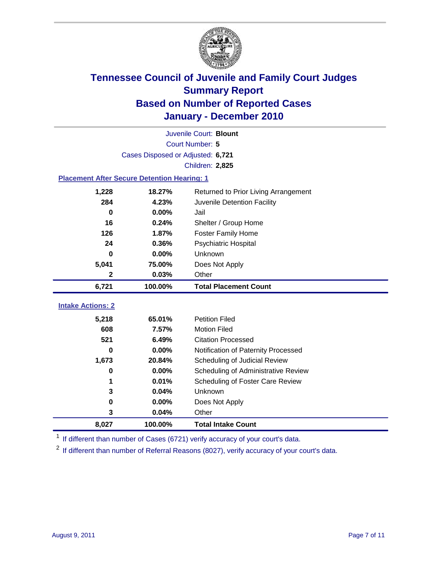

|                                                    | Juvenile Court: Blount            |                                      |  |  |
|----------------------------------------------------|-----------------------------------|--------------------------------------|--|--|
|                                                    | <b>Court Number: 5</b>            |                                      |  |  |
|                                                    | Cases Disposed or Adjusted: 6,721 |                                      |  |  |
|                                                    |                                   | Children: 2,825                      |  |  |
| <b>Placement After Secure Detention Hearing: 1</b> |                                   |                                      |  |  |
| 1,228                                              | 18.27%                            | Returned to Prior Living Arrangement |  |  |
| 284                                                | 4.23%                             | Juvenile Detention Facility          |  |  |
| $\bf{0}$                                           | 0.00%                             | Jail                                 |  |  |
| 16                                                 | 0.24%                             | Shelter / Group Home                 |  |  |
| 126                                                | 1.87%                             | <b>Foster Family Home</b>            |  |  |
| 24                                                 | 0.36%                             | Psychiatric Hospital                 |  |  |
| 0                                                  | 0.00%                             | Unknown                              |  |  |
| 5,041                                              | 75.00%                            | Does Not Apply                       |  |  |
| $\mathbf 2$                                        | 0.03%                             | Other                                |  |  |
| 6,721                                              | 100.00%                           | <b>Total Placement Count</b>         |  |  |
| <b>Intake Actions: 2</b>                           |                                   |                                      |  |  |
| 5,218                                              | 65.01%                            | <b>Petition Filed</b>                |  |  |
| 608                                                | 7.57%                             | <b>Motion Filed</b>                  |  |  |
| 521                                                | 6.49%                             | <b>Citation Processed</b>            |  |  |
| 0                                                  | 0.00%                             | Notification of Paternity Processed  |  |  |
| 1,673                                              | 20.84%                            | Scheduling of Judicial Review        |  |  |
| $\bf{0}$                                           | 0.00%                             | Scheduling of Administrative Review  |  |  |
| 1                                                  | 0.01%                             | Scheduling of Foster Care Review     |  |  |
| 3                                                  |                                   | Unknown                              |  |  |
|                                                    | 0.04%                             |                                      |  |  |
| 0                                                  | $0.00\%$                          | Does Not Apply                       |  |  |
| 3                                                  | 0.04%                             | Other                                |  |  |

<sup>1</sup> If different than number of Cases (6721) verify accuracy of your court's data.

<sup>2</sup> If different than number of Referral Reasons (8027), verify accuracy of your court's data.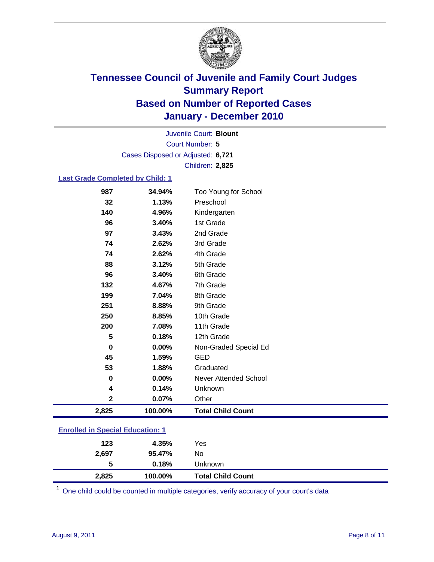

Court Number: **5** Juvenile Court: **Blount** Cases Disposed or Adjusted: **6,721** Children: **2,825**

#### **Last Grade Completed by Child: 1**

| 987                                     | 34.94%  | Too Young for School         |  |
|-----------------------------------------|---------|------------------------------|--|
| 32                                      | 1.13%   | Preschool                    |  |
| 140                                     | 4.96%   | Kindergarten                 |  |
| 96                                      | 3.40%   | 1st Grade                    |  |
| 97                                      | 3.43%   | 2nd Grade                    |  |
| 74                                      | 2.62%   | 3rd Grade                    |  |
| 74                                      | 2.62%   | 4th Grade                    |  |
| 88                                      | 3.12%   | 5th Grade                    |  |
| 96                                      | 3.40%   | 6th Grade                    |  |
| 132                                     | 4.67%   | 7th Grade                    |  |
| 199                                     | 7.04%   | 8th Grade                    |  |
| 251                                     | 8.88%   | 9th Grade                    |  |
| 250                                     | 8.85%   | 10th Grade                   |  |
| 200                                     | 7.08%   | 11th Grade                   |  |
| 5                                       | 0.18%   | 12th Grade                   |  |
| 0                                       | 0.00%   | Non-Graded Special Ed        |  |
| 45                                      | 1.59%   | <b>GED</b>                   |  |
| 53                                      | 1.88%   | Graduated                    |  |
| $\bf{0}$                                | 0.00%   | <b>Never Attended School</b> |  |
| 4                                       | 0.14%   | Unknown                      |  |
| $\mathbf 2$                             | 0.07%   | Other                        |  |
| 2,825                                   | 100.00% | <b>Total Child Count</b>     |  |
| <b>Enrolled in Special Education: 1</b> |         |                              |  |

| 2,825 | 100.00% | <b>Total Child Count</b> |
|-------|---------|--------------------------|
| 5     | 0.18%   | Unknown                  |
| 2,697 | 95.47%  | No                       |
| 123   | 4.35%   | Yes                      |
|       |         |                          |

One child could be counted in multiple categories, verify accuracy of your court's data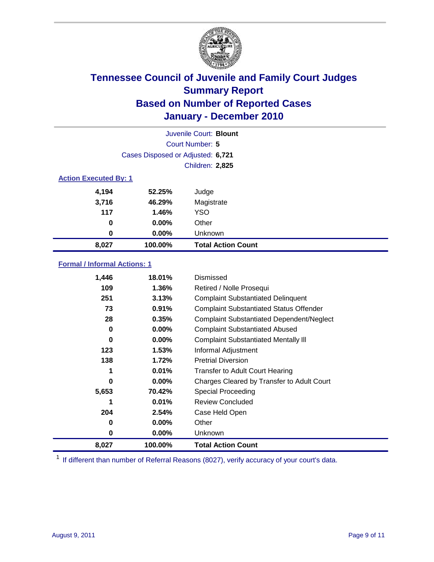

| Juvenile Court: Blount       |                                   |                           |  |  |  |
|------------------------------|-----------------------------------|---------------------------|--|--|--|
|                              | Court Number: 5                   |                           |  |  |  |
|                              | Cases Disposed or Adjusted: 6,721 |                           |  |  |  |
|                              |                                   | Children: 2,825           |  |  |  |
| <b>Action Executed By: 1</b> |                                   |                           |  |  |  |
| 4,194                        | 52.25%                            | Judge                     |  |  |  |
| 3,716                        | 46.29%                            | Magistrate                |  |  |  |
| 117                          | 1.46%                             | <b>YSO</b>                |  |  |  |
| 0                            | $0.00\%$                          | Other                     |  |  |  |
| 0                            | 0.00%                             | Unknown                   |  |  |  |
| 8,027                        | 100.00%                           | <b>Total Action Count</b> |  |  |  |

### **Formal / Informal Actions: 1**

| 1,446 | 18.01%   | <b>Dismissed</b>                                 |
|-------|----------|--------------------------------------------------|
| 109   | $1.36\%$ | Retired / Nolle Prosequi                         |
| 251   | 3.13%    | <b>Complaint Substantiated Delinquent</b>        |
| 73    | 0.91%    | <b>Complaint Substantiated Status Offender</b>   |
| 28    | 0.35%    | <b>Complaint Substantiated Dependent/Neglect</b> |
| 0     | $0.00\%$ | <b>Complaint Substantiated Abused</b>            |
| 0     | $0.00\%$ | <b>Complaint Substantiated Mentally III</b>      |
| 123   | $1.53\%$ | Informal Adjustment                              |
| 138   | 1.72%    | <b>Pretrial Diversion</b>                        |
| 1     | 0.01%    | <b>Transfer to Adult Court Hearing</b>           |
| 0     | $0.00\%$ | Charges Cleared by Transfer to Adult Court       |
| 5,653 | 70.42%   | <b>Special Proceeding</b>                        |
| 1     | 0.01%    | <b>Review Concluded</b>                          |
| 204   | 2.54%    | Case Held Open                                   |
| 0     | $0.00\%$ | Other                                            |
| 0     | $0.00\%$ | Unknown                                          |
| 8,027 | 100.00%  | <b>Total Action Count</b>                        |

<sup>1</sup> If different than number of Referral Reasons (8027), verify accuracy of your court's data.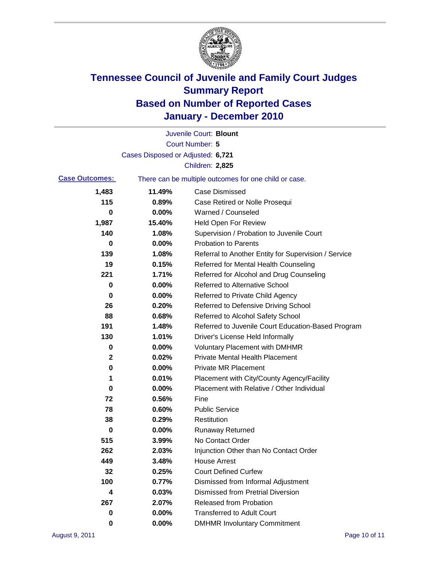

|                       |                                   | Juvenile Court: Blount                                |
|-----------------------|-----------------------------------|-------------------------------------------------------|
|                       |                                   | <b>Court Number: 5</b>                                |
|                       | Cases Disposed or Adjusted: 6,721 |                                                       |
|                       |                                   | Children: 2,825                                       |
| <b>Case Outcomes:</b> |                                   | There can be multiple outcomes for one child or case. |
| 1,483                 | 11.49%                            | <b>Case Dismissed</b>                                 |
| 115                   | 0.89%                             | Case Retired or Nolle Prosequi                        |
| 0                     | 0.00%                             | Warned / Counseled                                    |
| 1,987                 | 15.40%                            | Held Open For Review                                  |
| 140                   | 1.08%                             | Supervision / Probation to Juvenile Court             |
| 0                     | 0.00%                             | <b>Probation to Parents</b>                           |
| 139                   | 1.08%                             | Referral to Another Entity for Supervision / Service  |
| 19                    | 0.15%                             | Referred for Mental Health Counseling                 |
| 221                   | 1.71%                             | Referred for Alcohol and Drug Counseling              |
| 0                     | 0.00%                             | <b>Referred to Alternative School</b>                 |
| 0                     | 0.00%                             | Referred to Private Child Agency                      |
| 26                    | 0.20%                             | Referred to Defensive Driving School                  |
| 88                    | 0.68%                             | Referred to Alcohol Safety School                     |
| 191                   | 1.48%                             | Referred to Juvenile Court Education-Based Program    |
| 130                   | 1.01%                             | Driver's License Held Informally                      |
| 0                     | 0.00%                             | <b>Voluntary Placement with DMHMR</b>                 |
| 2                     | 0.02%                             | <b>Private Mental Health Placement</b>                |
| 0                     | 0.00%                             | <b>Private MR Placement</b>                           |
| 1                     | 0.01%                             | Placement with City/County Agency/Facility            |
| 0                     | 0.00%                             | Placement with Relative / Other Individual            |
| 72                    | 0.56%                             | Fine                                                  |
| 78                    | 0.60%                             | <b>Public Service</b>                                 |
| 38                    | 0.29%                             | Restitution                                           |
| 0                     | 0.00%                             | <b>Runaway Returned</b>                               |
| 515                   | 3.99%                             | No Contact Order                                      |
| 262                   | 2.03%                             | Injunction Other than No Contact Order                |
| 449                   | 3.48%                             | <b>House Arrest</b>                                   |
| 32                    | 0.25%                             | <b>Court Defined Curfew</b>                           |
| 100                   | 0.77%                             | Dismissed from Informal Adjustment                    |
| 4                     | 0.03%                             | <b>Dismissed from Pretrial Diversion</b>              |
| 267                   | 2.07%                             | Released from Probation                               |
| 0                     | $0.00\%$                          | <b>Transferred to Adult Court</b>                     |
| 0                     | 0.00%                             | <b>DMHMR Involuntary Commitment</b>                   |